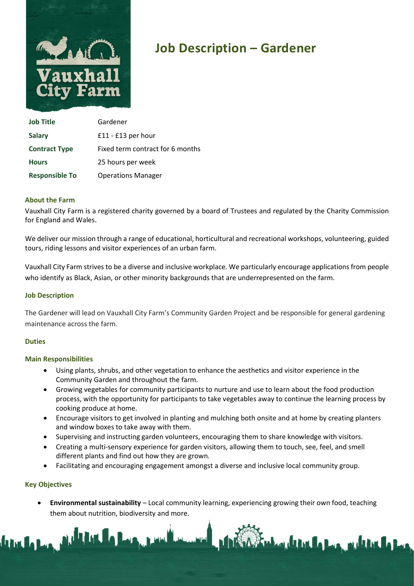

# Job Description – Gardener

| <b>Job Title</b>      | Gardener                         |
|-----------------------|----------------------------------|
| <b>Salary</b>         | $£11 - £13$ per hour             |
| <b>Contract Type</b>  | Fixed term contract for 6 months |
| <b>Hours</b>          | 25 hours per week                |
| <b>Responsible To</b> | <b>Operations Manager</b>        |

#### About the Farm

Vauxhall City Farm is a registered charity governed by a board of Trustees and regulated by the Charity Commission for England and Wales.

We deliver our mission through a range of educational, horticultural and recreational workshops, volunteering, guided tours, riding lessons and visitor experiences of an urban farm.

Vauxhall City Farm strives to be a diverse and inclusive workplace. We particularly encourage applications from people who identify as Black, Asian, or other minority backgrounds that are underrepresented on the farm.

#### Job Description

The Gardener will lead on Vauxhall City Farm's Community Garden Project and be responsible for general gardening maintenance across the farm.

#### **Duties**

#### Main Responsibilities

- Using plants, shrubs, and other vegetation to enhance the aesthetics and visitor experience in the Community Garden and throughout the farm.
- Growing vegetables for community participants to nurture and use to learn about the food production process, with the opportunity for participants to take vegetables away to continue the learning process by cooking produce at home.
- Encourage visitors to get involved in planting and mulching both onsite and at home by creating planters and window boxes to take away with them.
- Supervising and instructing garden volunteers, encouraging them to share knowledge with visitors.
- Creating a multi-sensory experience for garden visitors, allowing them to touch, see, feel, and smell different plants and find out how they are grown.
- Facilitating and encouraging engagement amongst a diverse and inclusive local community group.

#### Key Objectives

 Environmental sustainability – Local community learning, experiencing growing their own food, teaching them about nutrition, biodiversity and more.

LACK PLANE

**SASS The Local Andrew Property of the United States**